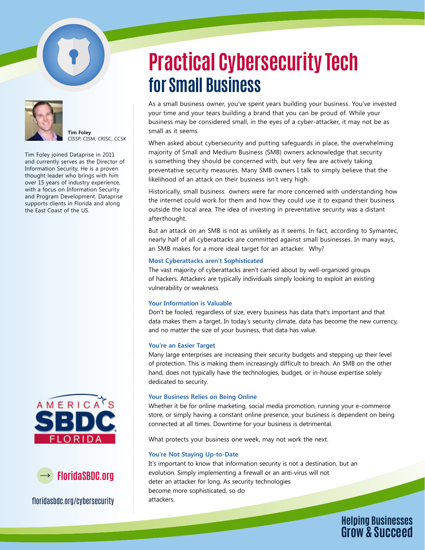



**Tim Foley** CISSP, CISM, CRISC, CCSK

Tim Foley joined Dataprise in 2011 and currently serves as the Director of Information Security. He is a proven thought leader who brings with him over 15 years of industry experience, with a focus on Information Security and Program Development. Dataprise supports clients in Florida and along the East Coast of the US.





floridasbdc.org/cybersecurity

# **Practical Cybersecurity Tech for Small Business**

As a small business owner, you've spent years building your business. You've invested your time and your tears building a brand that you can be proud of. While your business may be considered small, in the eyes of a cyber-attacker, it may not be as small as it seems.

When asked about cybersecurity and putting safeguards in place, the overwhelming majority of Small and Medium Business (SMB) owners acknowledge that security is something they should be concerned with, but very few are actively taking preventative security measures. Many SMB owners I talk to simply believe that the likelihood of an attack on their business isn't very high.

Historically, small business owners were far more concerned with understanding how the internet could work for them and how they could use it to expand their business outside the local area. The idea of investing in preventative security was a distant afterthought.

But an attack on an SMB is not as unlikely as it seems. In fact, according to Symantec, nearly half of all cyberattacks are committed against small businesses. In many ways, an SMB makes for a more ideal target for an attacker. Why?

# **Most Cyberattacks aren't Sophisticated**

The vast majority of cyberattacks aren't carried about by well-organized groups of hackers. Attackers are typically individuals simply looking to exploit an existing vulnerability or weakness.

# **Your Information is Valuable**

Don't be fooled, regardless of size, every business has data that's important and that data makes them a target. In today's security climate, data has become the new currency, and no matter the size of your business, that data has value.

# **You're an Easier Target**

Many large enterprises are increasing their security budgets and stepping up their level of protection. This is making them increasingly difficult to breach. An SMB on the other hand, does not typically have the technologies, budget, or in-house expertise solely dedicated to security.

# **Your Business Relies on Being Online**

Whether it be for online marketing, social media promotion, running your e-commerce store, or simply having a constant online presence, your business is dependent on being connected at all times. Downtime for your business is detrimental.

What protects your business one week, may not work the next.

# **You're Not Staying Up-to-Date**

It's important to know that information security is not a destination, but an evolution. Simply implementing a firewall or an anti-virus will not deter an attacker for long. As security technologies become more sophisticated, so do attackers.